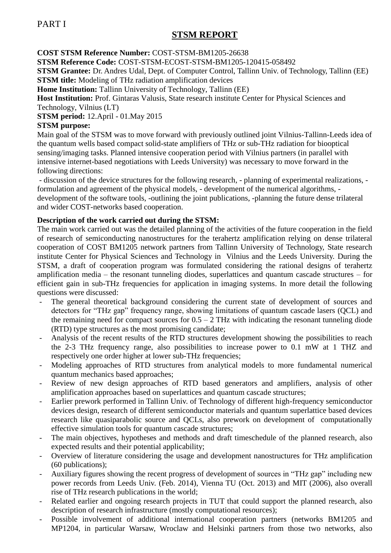# **STSM REPORT**

**COST STSM Reference Number:** COST-STSM-BM1205-26638

**STSM Reference Code:** COST-STSM-ECOST-STSM-BM1205-120415-058492

**STSM Grantee:** Dr. Andres Udal, Dept. of Computer Control, Tallinn Univ. of Technology, Tallinn (EE) **STSM title:** Modeling of THz radiation amplification devices

**Home Institution:** Tallinn University of Technology, Tallinn (EE)

**Host Institution:** Prof. Gintaras Valusis, State research institute Center for Physical Sciences and Technology, Vilnius (LT)

**STSM period:** 12.April - 01.May 2015

#### **STSM purpose:**

Main goal of the STSM was to move forward with previously outlined joint Vilnius-Tallinn-Leeds idea of the quantum wells based compact solid-state amplifiers of THz or sub-THz radiation for biooptical sensing/imaging tasks. Planned intensive cooperation period with Vilnius partners (in parallel with intensive internet-based negotiations with Leeds University) was necessary to move forward in the following directions:

- discussion of the device structures for the following research, - planning of experimental realizations, formulation and agreement of the physical models, - development of the numerical algorithms, development of the software tools, -outlining the joint publications, -planning the future dense trilateral and wider COST-networks based cooperation.

## **Description of the work carried out during the STSM:**

The main work carried out was the detailed planning of the activities of the future cooperation in the field of research of semiconducting nanostructures for the terahertz amplification relying on dense trilateral cooperation of COST BM1205 network partners from Tallinn University of Technology, State research institute Center for Physical Sciences and Technology in Vilnius and the Leeds University. During the STSM, a draft of cooperation program was formulated considering the rational designs of terahertz amplification media – the resonant tunneling diodes, superlattices and quantum cascade structures – for efficient gain in sub-THz frequencies for application in imaging systems. In more detail the following questions were discussed:

- The general theoretical background considering the current state of development of sources and detectors for "THz gap" frequency range, showing limitations of quantum cascade lasers (QCL) and the remaining need for compact sources for  $0.5 - 2$  THz with indicating the resonant tunneling diode (RTD) type structures as the most promising candidate;
- Analysis of the recent results of the RTD structures development showing the possibilities to reach the 2-3 THz frequency range, also possibilities to increase power to 0.1 mW at 1 THZ and respectively one order higher at lower sub-THz frequencies;
- Modeling approaches of RTD structures from analytical models to more fundamental numerical quantum mechanics based approaches;
- Review of new design approaches of RTD based generators and amplifiers, analysis of other amplification approaches based on superlattices and quantum cascade structures;
- Earlier prework performed in Tallinn Univ. of Technology of different high-frequency semiconductor devices design, research of different semiconductor materials and quantum superlattice based devices research like quasiparabolic source and QCLs, also prework on development of computationally effective simulation tools for quantum cascade structures;
- The main objectives, hypotheses and methods and draft timeschedule of the planned research, also expected results and their potential applicability;
- Overview of literature considering the usage and development nanostructures for THz amplification (60 publications);
- Auxiliary figures showing the recent progress of development of sources in "THz gap" including new power records from Leeds Univ. (Feb. 2014), Vienna TU (Oct. 2013) and MIT (2006), also overall rise of THz research publications in the world;
- Related earlier and ongoing research projects in TUT that could support the planned research, also description of research infrastructure (mostly computational resources);
- Possible involvement of additional international cooperation partners (networks BM1205 and MP1204, in particular Warsaw, Wroclaw and Helsinki partners from those two networks, also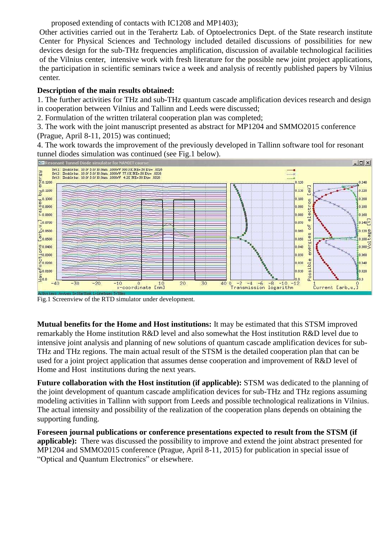proposed extending of contacts with IC1208 and MP1403);

Other activities carried out in the Terahertz Lab. of Optoelectronics Dept. of the State research institute Center for Physical Sciences and Technology included detailed discussions of possibilities for new devices design for the sub-THz frequencies amplification, discussion of available technological facilities of the Vilnius center, intensive work with fresh literature for the possible new joint project applications, the participation in scientific seminars twice a week and analysis of recently published papers by Vilnius center.

## **Description of the main results obtained:**

1. The further activities for THz and sub-THz quantum cascade amplification devices research and design in cooperation between Vilnius and Tallinn and Leeds were discussed;

2. Formulation of the written trilateral cooperation plan was completed;

3. The work with the joint manuscript presented as abstract for MP1204 and SMMO2015 conference (Prague, April 8-11, 2015) was continued;

4. The work towards the improvement of the previously developed in Tallinn software tool for resonant tunnel diodes simulation was continued (see Fig.1 below).



Fig.1 Screenview of the RTD simulator under development.

**Mutual benefits for the Home and Host institutions:** It may be estimated that this STSM improved remarkably the Home institution R&D level and also somewhat the Host institution R&D level due to intensive joint analysis and planning of new solutions of quantum cascade amplification devices for sub-THz and THz regions. The main actual result of the STSM is the detailed cooperation plan that can be used for a joint project application that assumes dense cooperation and improvement of R&D level of Home and Host institutions during the next years.

**Future collaboration with the Host institution (if applicable):** STSM was dedicated to the planning of the joint development of quantum cascade amplification devices for sub-THz and THz regions assuming modeling activities in Tallinn with support from Leeds and possible technological realizations in Vilnius. The actual intensity and possibility of the realization of the cooperation plans depends on obtaining the supporting funding.

**Foreseen journal publications or conference presentations expected to result from the STSM (if applicable):** There was discussed the possibility to improve and extend the joint abstract presented for MP1204 and SMMO2015 conference (Prague, April 8-11, 2015) for publication in special issue of "Optical and Quantum Electronics" or elsewhere.